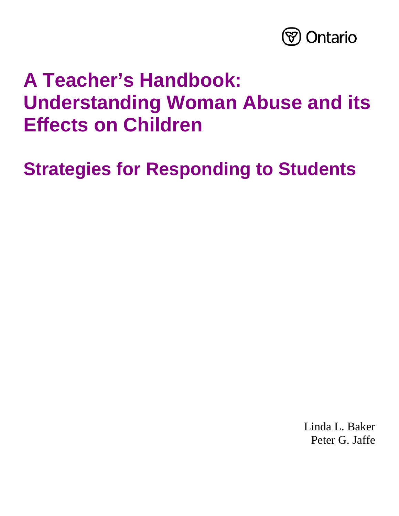

# **A Teacher's Handbook: Understanding Woman Abuse and its Effects on Children**

**Strategies for Responding to Students** 

Linda L. Baker Peter G. Jaffe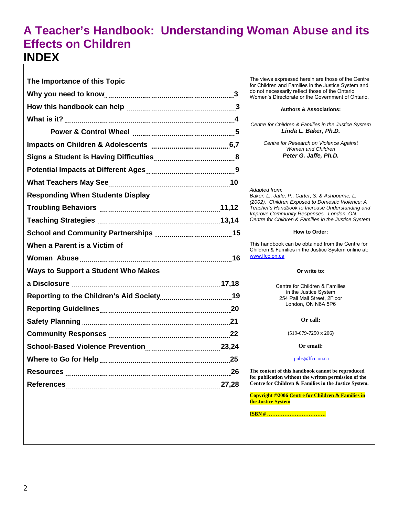## **A Teacher's Handbook: Understanding Woman Abuse and its Effects on Children INDEX**

| The Importance of this Topic               |
|--------------------------------------------|
|                                            |
|                                            |
|                                            |
|                                            |
|                                            |
|                                            |
|                                            |
|                                            |
| <b>Responding When Students Display</b>    |
|                                            |
|                                            |
|                                            |
| When a Parent is a Victim of               |
|                                            |
| <b>Ways to Support a Student Who Makes</b> |
|                                            |
|                                            |
|                                            |
|                                            |
|                                            |
|                                            |
|                                            |
|                                            |
|                                            |

The views expressed herein are those of the Centre for Children and Families in the Justice System and do not necessarily reflect those of the Ontario Women's Directorate or the Government of Ontario.

#### **Authors & Associations:**

*Centre for Children & Families in the Justice System Linda L. Baker, Ph.D.* 

> *Centre for Research on Violence Against Women and Children Peter G. Jaffe, Ph.D.*

*Adapted from: Baker, L., Jaffe, P., Carter, S. & Ashbourne, L. (2002). Children Exposed to Domestic Violence: A Teacher's Handbook to Increase Understanding and Improve Community Responses. London, ON: Centre for Children & Families in the Justice System* 

#### **How to Order:**

This handbook can be obtained from the Centre for Children & Families in the Justice System online at: www.lfcc.on.ca

#### **Or write to:**

Centre for Children & Families in the Justice System 254 Pall Mall Street, 2Floor London, ON N6A 5P6

**Or call:** 

**(**519-679-7250 x 206**)** 

**Or email:** 

pubs@lfcc.on.ca

**The content of this handbook cannot be reproduced for publication without the written permission of the Centre for Children & Families in the Justice System.** 

**Copyright ©2006 Centre for Children & Families in the Justice System** 

**ISBN # …………………………….**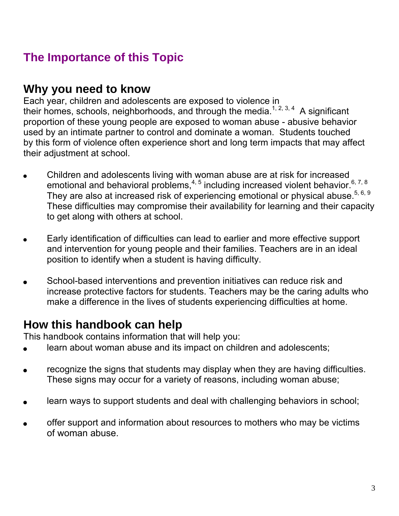# **The Importance of this Topic**

## **Why you need to know**

Each year, children and adolescents are exposed to violence in their homes, schools, neighborhoods, and through the media.<sup>1, 2, 3, 4</sup> A significant proportion of these young people are exposed to woman abuse - abusive behavior used by an intimate partner to control and dominate a woman. Students touched by this form of violence often experience short and long term impacts that may affect their adjustment at school.

- Children and adolescents living with woman abuse are at risk for increased emotional and behavioral problems, $4, 5$  including increased violent behavior. $6, 7, 8$ They are also at increased risk of experiencing emotional or physical abuse.<sup>5, 6, 9</sup> These difficulties may compromise their availability for learning and their capacity to get along with others at school.
- Early identification of difficulties can lead to earlier and more effective support and intervention for young people and their families. Teachers are in an ideal position to identify when a student is having difficulty.
- School-based interventions and prevention initiatives can reduce risk and increase protective factors for students. Teachers may be the caring adults who make a difference in the lives of students experiencing difficulties at home.

# **How this handbook can help**

This handbook contains information that will help you:

- learn about woman abuse and its impact on children and adolescents;
- recognize the signs that students may display when they are having difficulties. These signs may occur for a variety of reasons, including woman abuse;
- learn ways to support students and deal with challenging behaviors in school;
- offer support and information about resources to mothers who may be victims of woman abuse.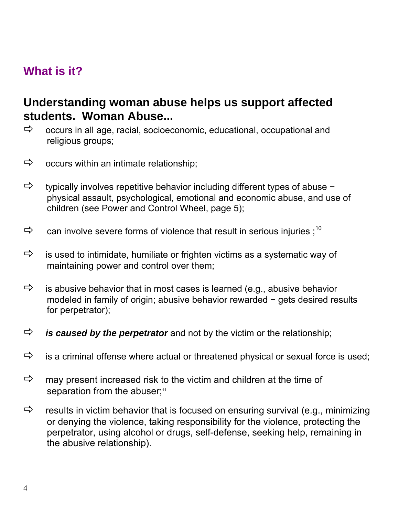# **What is it?**

# **Understanding woman abuse helps us support affected students. Woman Abuse...**

- $\Rightarrow$  occurs in all age, racial, socioeconomic, educational, occupational and religious groups;
- $\Rightarrow$  occurs within an intimate relationship;
- Ö typically involves repetitive behavior including different types of abuse − physical assault, psychological, emotional and economic abuse, and use of children (see Power and Control Wheel, page 5);
- $\Rightarrow$  can involve severe forms of violence that result in serious injuries ;<sup>10</sup>
- $\Rightarrow$  is used to intimidate, humiliate or frighten victims as a systematic way of maintaining power and control over them;
- $\Rightarrow$  is abusive behavior that in most cases is learned (e.g., abusive behavior modeled in family of origin; abusive behavior rewarded − gets desired results for perpetrator);
- $\Rightarrow$  **is caused by the perpetrator** and not by the victim or the relationship;
- $\Rightarrow$  is a criminal offense where actual or threatened physical or sexual force is used;
- $\Rightarrow$  may present increased risk to the victim and children at the time of separation from the abuser;<sup>11</sup>
- $\Rightarrow$  results in victim behavior that is focused on ensuring survival (e.g., minimizing or denying the violence, taking responsibility for the violence, protecting the perpetrator, using alcohol or drugs, self-defense, seeking help, remaining in the abusive relationship).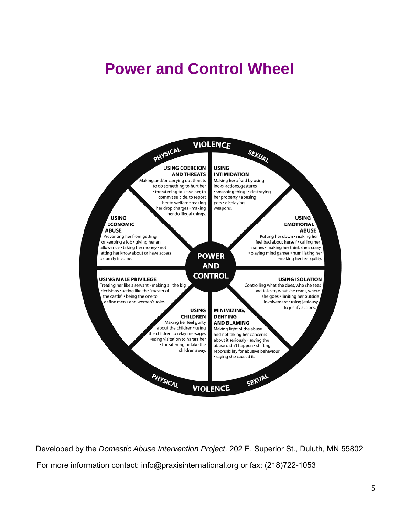# **Power and Control Wheel**



Developed by the *Domestic Abuse Intervention Project,* 202 E. Superior St., Duluth, MN 55802 For more information contact: info@praxisinternational.org or fax: (218)722-1053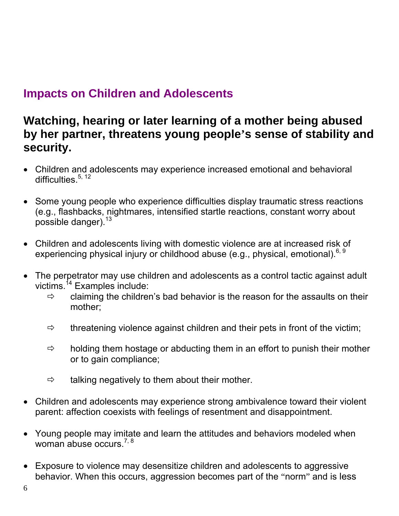# **Impacts on Children and Adolescents**

# **Watching, hearing or later learning of a mother being abused by her partner, threatens young people's sense of stability and security.**

- Children and adolescents may experience increased emotional and behavioral difficulties. $5, 12$
- Some young people who experience difficulties display traumatic stress reactions (e.g., flashbacks, nightmares, intensified startle reactions, constant worry about possible danger).<sup>13</sup>
- Children and adolescents living with domestic violence are at increased risk of experiencing physical injury or childhood abuse (e.g., physical, emotional).<sup>6, 9</sup>
- The perpetrator may use children and adolescents as a control tactic against adult victims.<sup>14</sup> Examples include:
	- $\Rightarrow$  claiming the children's bad behavior is the reason for the assaults on their mother;
	- $\Rightarrow$  threatening violence against children and their pets in front of the victim;
	- $\Rightarrow$  holding them hostage or abducting them in an effort to punish their mother or to gain compliance;
	- $\Rightarrow$  talking negatively to them about their mother.
- Children and adolescents may experience strong ambivalence toward their violent parent: affection coexists with feelings of resentment and disappointment.
- Young people may imitate and learn the attitudes and behaviors modeled when woman abuse occurs.<sup>7, 8</sup>
- Exposure to violence may desensitize children and adolescents to aggressive behavior. When this occurs, aggression becomes part of the "norm" and is less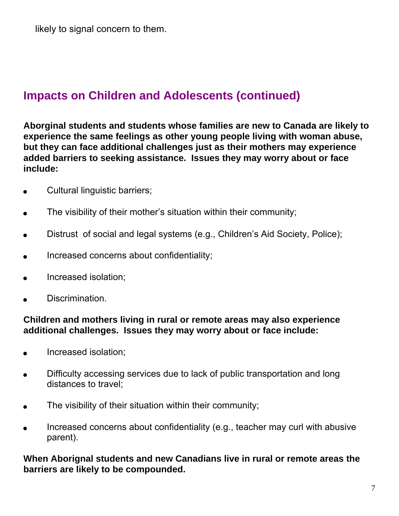# **Impacts on Children and Adolescents (continued)**

**Aborginal students and students whose families are new to Canada are likely to experience the same feelings as other young people living with woman abuse, but they can face additional challenges just as their mothers may experience added barriers to seeking assistance. Issues they may worry about or face include:** 

- Cultural linguistic barriers;
- The visibility of their mother's situation within their community;
- Distrust of social and legal systems (e.g., Children's Aid Society, Police);
- Increased concerns about confidentiality;
- Increased isolation;
- Discrimination.

## **Children and mothers living in rural or remote areas may also experience additional challenges. Issues they may worry about or face include:**

- Increased isolation:
- Difficulty accessing services due to lack of public transportation and long distances to travel;
- The visibility of their situation within their community;
- Increased concerns about confidentiality (e.g., teacher may curl with abusive parent).

**When Aborignal students and new Canadians live in rural or remote areas the barriers are likely to be compounded.**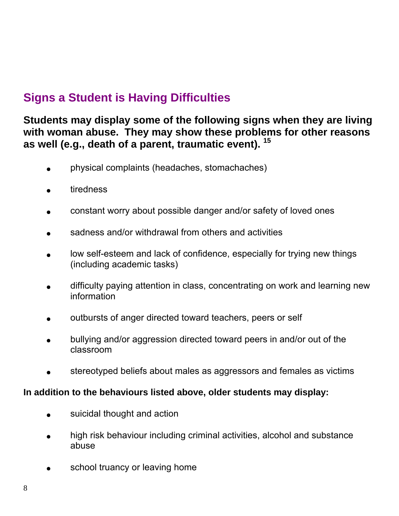# **Signs a Student is Having Difficulties**

## **Students may display some of the following signs when they are living with woman abuse. They may show these problems for other reasons as well (e.g., death of a parent, traumatic event). <sup>15</sup>**

- physical complaints (headaches, stomachaches)
- tiredness
- constant worry about possible danger and/or safety of loved ones
- sadness and/or withdrawal from others and activities
- low self-esteem and lack of confidence, especially for trying new things (including academic tasks)
- difficulty paying attention in class, concentrating on work and learning new information
- outbursts of anger directed toward teachers, peers or self
- bullying and/or aggression directed toward peers in and/or out of the classroom
- stereotyped beliefs about males as aggressors and females as victims

## **In addition to the behaviours listed above, older students may display:**

- suicidal thought and action
- high risk behaviour including criminal activities, alcohol and substance abuse
- school truancy or leaving home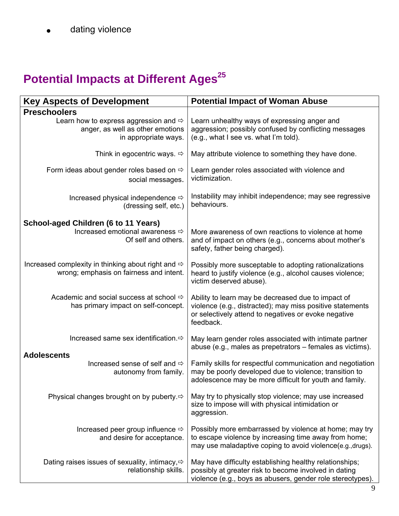dating violence

# **Potential Impacts at Different Ages<sup>25</sup>**

| <b>Key Aspects of Development</b>                                                                             | <b>Potential Impact of Woman Abuse</b>                                                                                                                                               |
|---------------------------------------------------------------------------------------------------------------|--------------------------------------------------------------------------------------------------------------------------------------------------------------------------------------|
| <b>Preschoolers</b>                                                                                           |                                                                                                                                                                                      |
| Learn how to express aggression and $\Rightarrow$<br>anger, as well as other emotions<br>in appropriate ways. | Learn unhealthy ways of expressing anger and<br>aggression; possibly confused by conflicting messages<br>(e.g., what I see vs. what I'm told).                                       |
| Think in egocentric ways. $\Rightarrow$                                                                       | May attribute violence to something they have done.                                                                                                                                  |
| Form ideas about gender roles based on $\Rightarrow$<br>social messages.                                      | Learn gender roles associated with violence and<br>victimization.                                                                                                                    |
| Increased physical independence ⇒<br>(dressing self, etc.)                                                    | Instability may inhibit independence; may see regressive<br>behaviours.                                                                                                              |
| School-aged Children (6 to 11 Years)                                                                          |                                                                                                                                                                                      |
| Increased emotional awareness $⇒$<br>Of self and others.                                                      | More awareness of own reactions to violence at home<br>and of impact on others (e.g., concerns about mother's<br>safety, father being charged).                                      |
| Increased complexity in thinking about right and $\Rightarrow$<br>wrong; emphasis on fairness and intent.     | Possibly more susceptable to adopting rationalizations<br>heard to justify violence (e.g., alcohol causes violence;<br>victim deserved abuse).                                       |
| Academic and social success at school $\Rightarrow$<br>has primary impact on self-concept.                    | Ability to learn may be decreased due to impact of<br>violence (e.g., distracted); may miss positive statements<br>or selectively attend to negatives or evoke negative<br>feedback. |
| Increased same sex identification. $\Rightarrow$                                                              | May learn gender roles associated with intimate partner<br>abuse (e.g., males as prepetrators – females as victims).                                                                 |
| <b>Adolescents</b><br>Increased sense of self and $\Rightarrow$<br>autonomy from family.                      | Family skills for respectful communication and negotiation<br>may be poorly developed due to violence; transition to<br>adolescence may be more difficult for youth and family.      |
| Physical changes brought on by puberty. $\Leftrightarrow$                                                     | May try to physically stop violence; may use increased<br>size to impose will with physical intimidation or<br>aggression.                                                           |
| Increased peer group influence $\Rightarrow$<br>and desire for acceptance.                                    | Possibly more embarrassed by violence at home; may try<br>to escape violence by increasing time away from home;<br>may use maladaptive coping to avoid violence(e.g., drugs).        |
| Dating raises issues of sexuality, intimacy, $\Leftrightarrow$<br>relationship skills.                        | May have difficulty establishing healthy relationships;<br>possibly at greater risk to become involved in dating<br>violence (e.g., boys as abusers, gender role stereotypes).       |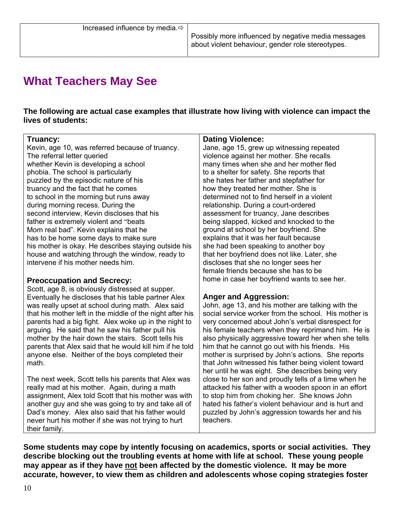# **What Teachers May See**

**The following are actual case examples that illustrate how living with violence can impact the lives of students:** 

#### **Truancy:**

Kevin, age 10, was referred because of truancy. The referral letter queried whether Kevin is developing a school phobia. The school is particularly puzzled by the episodic nature of his truancy and the fact that he comes to school in the morning but runs away during morning recess. During the second interview, Kevin discloses that his father is extremely violent and "beats Mom real bad". Kevin explains that he has to be home some days to make sure his mother is okay. He describes staying outside his house and watching through the window, ready to intervene if his mother needs him.

#### **Preoccupation and Secrecy:**

Scott, age 8, is obviously distressed at supper. Eventually he discloses that his table partner Alex was really upset at school during math. Alex said that his mother left in the middle of the night after his parents had a big fight. Alex woke up in the night to arguing. He said that he saw his father pull his mother by the hair down the stairs. Scott tells his parents that Alex said that he would kill him if he told anyone else. Neither of the boys completed their math.

The next week, Scott tells his parents that Alex was really mad at his mother. Again, during a math assignment, Alex told Scott that his mother was with another guy and she was going to try and take all of Dad's money. Alex also said that his father would never hurt his mother if she was not trying to hurt their family.

#### **Dating Violence:**

Jane, age 15, grew up witnessing repeated violence against her mother. She recalls many times when she and her mother fled to a shelter for safety. She reports that she hates her father and stepfather for how they treated her mother. She is determined not to find herself in a violent relationship. During a court-ordered assessment for truancy, Jane describes being slapped, kicked and knocked to the ground at school by her boyfriend. She explains that it was her fault because she had been speaking to another boy that her boyfriend does not like. Later, she discloses that she no longer sees her female friends because she has to be home in case her boyfriend wants to see her.

#### **Anger and Aggression:**

John, age 13, and his mother are talking with the social service worker from the school. His mother is very concerned about John's verbal disrespect for his female teachers when they reprimand him. He is also physically aggressive toward her when she tells him that he cannot go out with his friends. His mother is surprised by John's actions. She reports that John witnessed his father being violent toward her until he was eight. She describes being very close to her son and proudly tells of a time when he attacked his father with a wooden spoon in an effort to stop him from choking her. She knows John hated his father's violent behaviour and is hurt and puzzled by John's aggression towards her and his teachers.

**Some students may cope by intently focusing on academics, sports or social activities. They describe blocking out the troubling events at home with life at school. These young people**  may appear as if they have not been affected by the domestic violence. It may be more **accurate, however, to view them as children and adolescents whose coping strategies foster**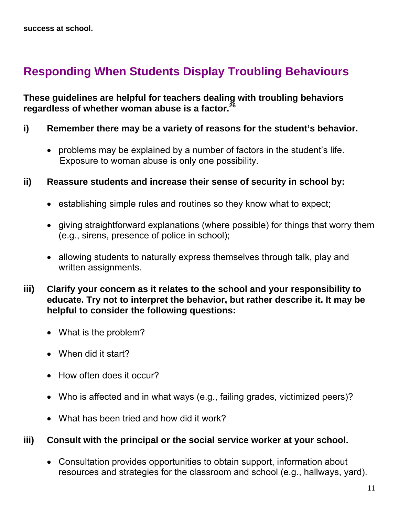# **Responding When Students Display Troubling Behaviours**

**These guidelines are helpful for teachers dealing with troubling behaviors regardless of whether woman abuse is a factor.26**

- **i) Remember there may be a variety of reasons for the student's behavior.** 
	- problems may be explained by a number of factors in the student's life. Exposure to woman abuse is only one possibility.
- **ii) Reassure students and increase their sense of security in school by:** 
	- establishing simple rules and routines so they know what to expect;
	- giving straightforward explanations (where possible) for things that worry them (e.g., sirens, presence of police in school);
	- allowing students to naturally express themselves through talk, play and written assignments.
- **iii) Clarify your concern as it relates to the school and your responsibility to educate. Try not to interpret the behavior, but rather describe it. It may be helpful to consider the following questions:** 
	- What is the problem?
	- When did it start?
	- How often does it occur?
	- Who is affected and in what ways (e.g., failing grades, victimized peers)?
	- What has been tried and how did it work?

## **iii) Consult with the principal or the social service worker at your school.**

• Consultation provides opportunities to obtain support, information about resources and strategies for the classroom and school (e.g., hallways, yard).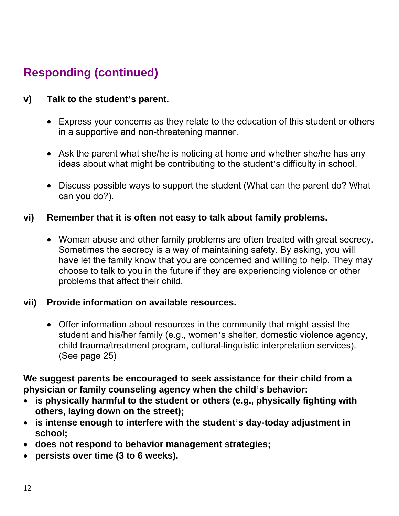# **Responding (continued)**

## **v) Talk to the student's parent.**

- Express your concerns as they relate to the education of this student or others in a supportive and non-threatening manner.
- Ask the parent what she/he is noticing at home and whether she/he has any ideas about what might be contributing to the student's difficulty in school.
- Discuss possible ways to support the student (What can the parent do? What can you do?).

## **vi) Remember that it is often not easy to talk about family problems.**

• Woman abuse and other family problems are often treated with great secrecy. Sometimes the secrecy is a way of maintaining safety. By asking, you will have let the family know that you are concerned and willing to help. They may choose to talk to you in the future if they are experiencing violence or other problems that affect their child.

## **vii) Provide information on available resources.**

• Offer information about resources in the community that might assist the student and his/her family (e.g., women's shelter, domestic violence agency, child trauma/treatment program, cultural-linguistic interpretation services). (See page 25)

**We suggest parents be encouraged to seek assistance for their child from a physician or family counseling agency when the child**'**s behavior:** 

- **is physically harmful to the student or others (e.g., physically fighting with others, laying down on the street);**
- **is intense enough to interfere with the student**'**s day-today adjustment in school;**
- **does not respond to behavior management strategies;**
- **persists over time (3 to 6 weeks).**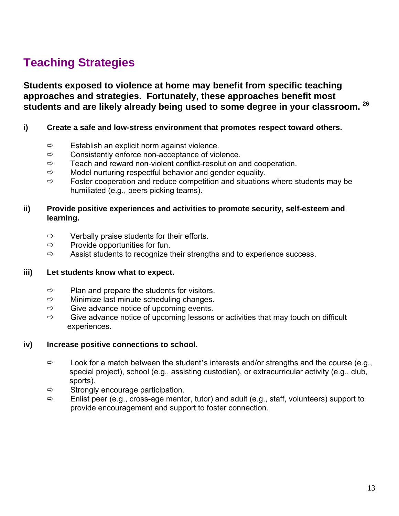# **Teaching Strategies**

**Students exposed to violence at home may benefit from specific teaching approaches and strategies. Fortunately, these approaches benefit most students and are likely already being used to some degree in your classroom. 26**

#### **i) Create a safe and low-stress environment that promotes respect toward others.**

- $\Rightarrow$  Establish an explicit norm against violence.
- $\Rightarrow$  Consistently enforce non-acceptance of violence.
- $\Rightarrow$  Teach and reward non-violent conflict-resolution and cooperation.
- $\Rightarrow$  Model nurturing respectful behavior and gender equality.
- $\Rightarrow$  Foster cooperation and reduce competition and situations where students may be humiliated (e.g., peers picking teams).

#### **ii) Provide positive experiences and activities to promote security, self-esteem and learning.**

- $\Rightarrow$  Verbally praise students for their efforts.
- $\Rightarrow$  Provide opportunities for fun.
- $\Rightarrow$  Assist students to recognize their strengths and to experience success.

#### **iii) Let students know what to expect.**

- $\Rightarrow$  Plan and prepare the students for visitors.
- $\Rightarrow$  Minimize last minute scheduling changes.
- $\Rightarrow$  Give advance notice of upcoming events.
- $\Rightarrow$  Give advance notice of upcoming lessons or activities that may touch on difficult experiences.

#### **iv) Increase positive connections to school.**

- $\Rightarrow$  Look for a match between the student's interests and/or strengths and the course (e.g., special project), school (e.g., assisting custodian), or extracurricular activity (e.g., club, sports).
- $\Rightarrow$  Strongly encourage participation.
- $\Rightarrow$  Enlist peer (e.g., cross-age mentor, tutor) and adult (e.g., staff, volunteers) support to provide encouragement and support to foster connection.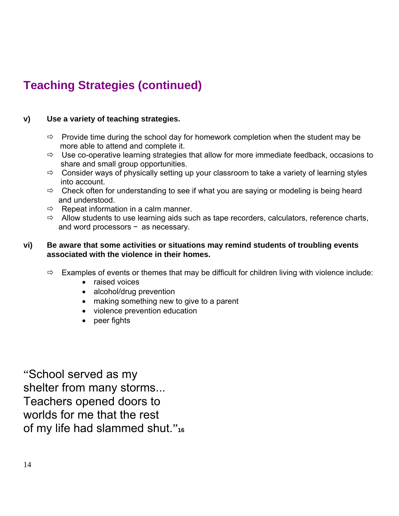# **Teaching Strategies (continued)**

#### **v) Use a variety of teaching strategies.**

- $\Rightarrow$  Provide time during the school day for homework completion when the student may be more able to attend and complete it.
- $\Rightarrow$  Use co-operative learning strategies that allow for more immediate feedback, occasions to share and small group opportunities.
- $\Rightarrow$  Consider ways of physically setting up your classroom to take a variety of learning styles into account.
- $\Rightarrow$  Check often for understanding to see if what you are saying or modeling is being heard and understood.
- $\Rightarrow$  Repeat information in a calm manner.
- $\Rightarrow$  Allow students to use learning aids such as tape recorders, calculators, reference charts, and word processors − as necessary.

#### **vi) Be aware that some activities or situations may remind students of troubling events associated with the violence in their homes.**

- $\Rightarrow$  Examples of events or themes that may be difficult for children living with violence include:
	- raised voices
	- alcohol/drug prevention
	- making something new to give to a parent
	- violence prevention education
	- peer fights

"School served as my shelter from many storms... Teachers opened doors to worlds for me that the rest of my life had slammed shut."**<sup>16</sup>**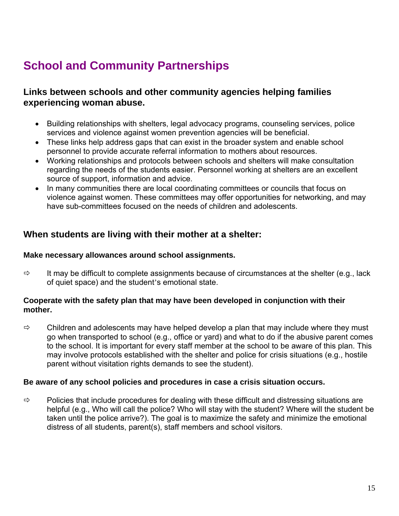# **School and Community Partnerships**

## **Links between schools and other community agencies helping families experiencing woman abuse.**

- Building relationships with shelters, legal advocacy programs, counseling services, police services and violence against women prevention agencies will be beneficial.
- These links help address gaps that can exist in the broader system and enable school personnel to provide accurate referral information to mothers about resources.
- Working relationships and protocols between schools and shelters will make consultation regarding the needs of the students easier. Personnel working at shelters are an excellent source of support, information and advice.
- In many communities there are local coordinating committees or councils that focus on violence against women. These committees may offer opportunities for networking, and may have sub-committees focused on the needs of children and adolescents.

## **When students are living with their mother at a shelter:**

#### **Make necessary allowances around school assignments.**

 $\Rightarrow$  It may be difficult to complete assignments because of circumstances at the shelter (e.g., lack of quiet space) and the student's emotional state.

#### **Cooperate with the safety plan that may have been developed in conjunction with their mother.**

 $\Rightarrow$  Children and adolescents may have helped develop a plan that may include where they must go when transported to school (e.g., office or yard) and what to do if the abusive parent comes to the school. It is important for every staff member at the school to be aware of this plan. This may involve protocols established with the shelter and police for crisis situations (e.g., hostile parent without visitation rights demands to see the student).

#### **Be aware of any school policies and procedures in case a crisis situation occurs.**

 $\Rightarrow$  Policies that include procedures for dealing with these difficult and distressing situations are helpful (e.g., Who will call the police? Who will stay with the student? Where will the student be taken until the police arrive?). The goal is to maximize the safety and minimize the emotional distress of all students, parent(s), staff members and school visitors.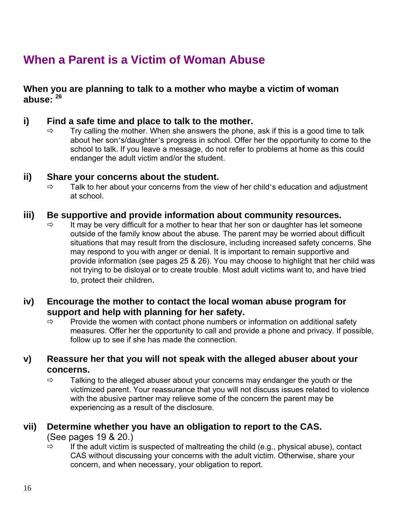# **When a Parent is a Victim of Woman Abuse**

**When you are planning to talk to a mother who maybe a victim of woman abuse: <sup>26</sup>**

### **i) Find a safe time and place to talk to the mother.**

 $\Rightarrow$  Try calling the mother. When she answers the phone, ask if this is a good time to talk about her son's/daughter's progress in school. Offer her the opportunity to come to the school to talk. If you leave a message, do not refer to problems at home as this could endanger the adult victim and/or the student.

#### **ii) Share your concerns about the student.**

 $\Rightarrow$  Talk to her about your concerns from the view of her child's education and adjustment at school.

#### **iii) Be supportive and provide information about community resources.**

 $\Rightarrow$  It may be very difficult for a mother to hear that her son or daughter has let someone outside of the family know about the abuse. The parent may be worried about difficult situations that may result from the disclosure, including increased safety concerns. She may respond to you with anger or denial. It is important to remain supportive and provide information (see pages 25 & 26). You may choose to highlight that her child was not trying to be disloyal or to create trouble. Most adult victims want to, and have tried to, protect their children.

### **iv) Encourage the mother to contact the local woman abuse program for support and help with planning for her safety.**

 $\Rightarrow$  Provide the women with contact phone numbers or information on additional safety measures. Offer her the opportunity to call and provide a phone and privacy. If possible, follow up to see if she has made the connection.

## **v) Reassure her that you will not speak with the alleged abuser about your concerns.**

 $\Rightarrow$  Talking to the alleged abuser about your concerns may endanger the youth or the victimized parent. Your reassurance that you will not discuss issues related to violence with the abusive partner may relieve some of the concern the parent may be experiencing as a result of the disclosure.

#### **vii) Determine whether you have an obligation to report to the CAS.**  (See pages 19 & 20.)

 $\Rightarrow$  If the adult victim is suspected of maltreating the child (e.g., physical abuse), contact CAS without discussing your concerns with the adult victim. Otherwise, share your concern, and when necessary, your obligation to report.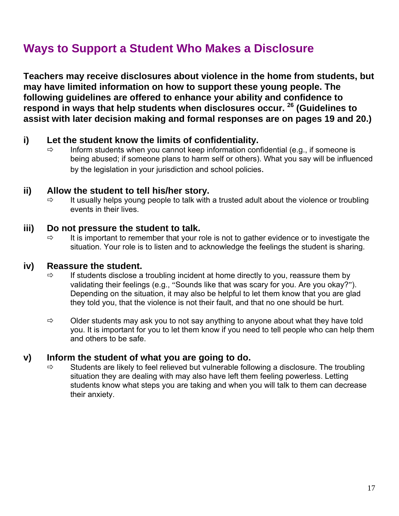# **Ways to Support a Student Who Makes a Disclosure**

**Teachers may receive disclosures about violence in the home from students, but may have limited information on how to support these young people. The following guidelines are offered to enhance your ability and confidence to respond in ways that help students when disclosures occur. 26 (Guidelines to assist with later decision making and formal responses are on pages 19 and 20.)** 

#### **i) Let the student know the limits of confidentiality.**

 $\Rightarrow$  Inform students when you cannot keep information confidential (e.g., if someone is being abused; if someone plans to harm self or others). What you say will be influenced by the legislation in your jurisdiction and school policies.

#### **ii) Allow the student to tell his/her story.**

 $\Rightarrow$  It usually helps young people to talk with a trusted adult about the violence or troubling events in their lives.

#### **iii) Do not pressure the student to talk.**

 $\Rightarrow$  It is important to remember that your role is not to gather evidence or to investigate the situation. Your role is to listen and to acknowledge the feelings the student is sharing.

#### **iv) Reassure the student.**

- $\Rightarrow$  If students disclose a troubling incident at home directly to you, reassure them by validating their feelings (e.g., "Sounds like that was scary for you. Are you okay?"). Depending on the situation, it may also be helpful to let them know that you are glad they told you, that the violence is not their fault, and that no one should be hurt.
- $\Rightarrow$  Older students may ask you to not say anything to anyone about what they have told you. It is important for you to let them know if you need to tell people who can help them and others to be safe.

#### **v) Inform the student of what you are going to do.**

 $\Rightarrow$  Students are likely to feel relieved but vulnerable following a disclosure. The troubling situation they are dealing with may also have left them feeling powerless. Letting students know what steps you are taking and when you will talk to them can decrease their anxiety.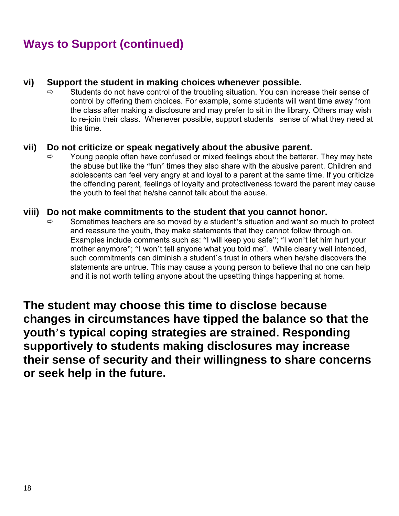# **Ways to Support (continued)**

#### **vi) Support the student in making choices whenever possible.**

 $\Rightarrow$  Students do not have control of the troubling situation. You can increase their sense of control by offering them choices. For example, some students will want time away from the class after making a disclosure and may prefer to sit in the library. Others may wish to re-join their class. Whenever possible, support students sense of what they need at this time.

#### **vii) Do not criticize or speak negatively about the abusive parent.**

 $\Rightarrow$  Young people often have confused or mixed feelings about the batterer. They may hate the abuse but like the "fun" times they also share with the abusive parent. Children and adolescents can feel very angry at and loyal to a parent at the same time. If you criticize the offending parent, feelings of loyalty and protectiveness toward the parent may cause the youth to feel that he/she cannot talk about the abuse.

#### **viii) Do not make commitments to the student that you cannot honor.**

 $\Rightarrow$  Sometimes teachers are so moved by a student's situation and want so much to protect and reassure the youth, they make statements that they cannot follow through on. Examples include comments such as: "I will keep you safe"; "I won't let him hurt your mother anymore"; "I won't tell anyone what you told me". While clearly well intended, such commitments can diminish a student's trust in others when he/she discovers the statements are untrue. This may cause a young person to believe that no one can help and it is not worth telling anyone about the upsetting things happening at home.

**The student may choose this time to disclose because changes in circumstances have tipped the balance so that the youth**'**s typical coping strategies are strained. Responding supportively to students making disclosures may increase their sense of security and their willingness to share concerns or seek help in the future.**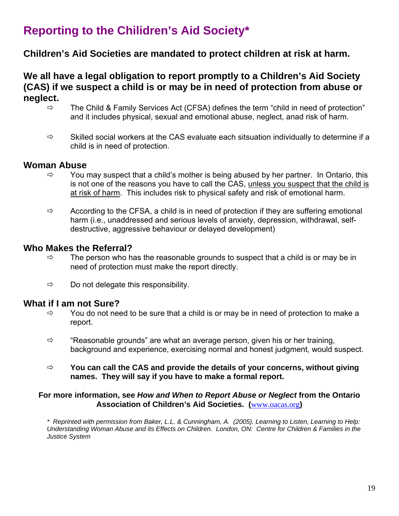# **Reporting to the Chilidren's Aid Society\***

## **Children's Aid Societies are mandated to protect children at risk at harm.**

## **We all have a legal obligation to report promptly to a Children's Aid Society (CAS) if we suspect a child is or may be in need of protection from abuse or neglect.**

- $\Rightarrow$  The Child & Family Services Act (CFSA) defines the term "child in need of protection" and it includes physical, sexual and emotional abuse, neglect, anad risk of harm.
- $\Rightarrow$  Skilled social workers at the CAS evaluate each sitsuation individually to determine if a child is in need of protection.

#### **Woman Abuse**

- $\Rightarrow$  You may suspect that a child's mother is being abused by her partner. In Ontario, this is not one of the reasons you have to call the CAS, unless you suspect that the child is at risk of harm. This includes risk to physical safety and risk of emotional harm.
- $\Rightarrow$  According to the CFSA, a child is in need of protection if they are suffering emotional harm (i.e., unaddressed and serious levels of anxiety, depression, withdrawal, selfdestructive, aggressive behaviour or delayed development)

#### **Who Makes the Referral?**

- $\Rightarrow$  The person who has the reasonable grounds to suspect that a child is or may be in need of protection must make the report directly.
- $\Rightarrow$  Do not delegate this responsibility.

#### **What if I am not Sure?**

- $\Rightarrow$  You do not need to be sure that a child is or may be in need of protection to make a report.
- $\Rightarrow$  "Reasonable grounds" are what an average person, given his or her training, background and experience, exercising normal and honest judgment, would suspect.
- Ö **You can call the CAS and provide the details of your concerns, without giving names. They will say if you have to make a formal report.**

#### **For more information, see** *How and When to Report Abuse or Neglect* **from the Ontario Association of Children's Aid Societies. (**www.oacas.org**)**

*\* Reprinted with permission from Baker, L.L. & Cunningham, A. (2005). Learning to Listen, Learning to Help: Understanding Woman Abuse and its Effects on Children. London, ON: Centre for Children & Families in the Justice System*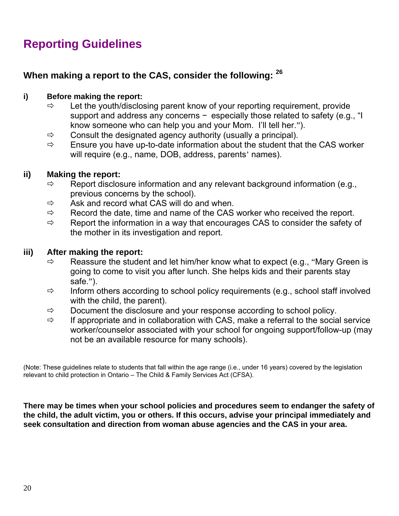# **Reporting Guidelines**

## **When making a report to the CAS, consider the following: <sup>26</sup>**

#### **i) Before making the report:**

- $\Rightarrow$  Let the youth/disclosing parent know of your reporting requirement, provide support and address any concerns - especially those related to safety (e.g., "I know someone who can help you and your Mom. I'll tell her.").
- $\Rightarrow$  Consult the designated agency authority (usually a principal).
- $\Rightarrow$  Ensure you have up-to-date information about the student that the CAS worker will require (e.g., name, DOB, address, parents' names).

#### **ii) Making the report:**

- $\Rightarrow$  Report disclosure information and any relevant background information (e.g., previous concerns by the school).
- $\Rightarrow$  Ask and record what CAS will do and when.
- $\Rightarrow$  Record the date, time and name of the CAS worker who received the report.
- $\Rightarrow$  Report the information in a way that encourages CAS to consider the safety of the mother in its investigation and report.

#### **iii) After making the report:**

- $\Rightarrow$  Reassure the student and let him/her know what to expect (e.g., "Mary Green is going to come to visit you after lunch. She helps kids and their parents stay safe.").
- $\Rightarrow$  Inform others according to school policy requirements (e.g., school staff involved with the child, the parent).
- $\Rightarrow$  Document the disclosure and your response according to school policy.
- $\Rightarrow$  If appropriate and in collaboration with CAS, make a referral to the social service worker/counselor associated with your school for ongoing support/follow-up (may not be an available resource for many schools).

(Note: These guidelines relate to students that fall within the age range (i.e., under 16 years) covered by the legislation relevant to child protection in Ontario – The Child & Family Services Act (CFSA).

**There may be times when your school policies and procedures seem to endanger the safety of the child, the adult victim, you or others. If this occurs, advise your principal immediately and seek consultation and direction from woman abuse agencies and the CAS in your area.**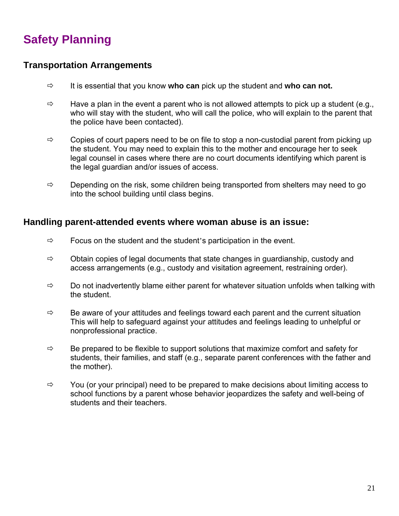# **Safety Planning**

### **Transportation Arrangements**

- $\Rightarrow$  It is essential that you know who can pick up the student and who can not.
- $\Rightarrow$  Have a plan in the event a parent who is not allowed attempts to pick up a student (e.g., who will stay with the student, who will call the police, who will explain to the parent that the police have been contacted).
- $\Rightarrow$  Copies of court papers need to be on file to stop a non-custodial parent from picking up the student. You may need to explain this to the mother and encourage her to seek legal counsel in cases where there are no court documents identifying which parent is the legal guardian and/or issues of access.
- $\Rightarrow$  Depending on the risk, some children being transported from shelters may need to go into the school building until class begins.

#### **Handling parent-attended events where woman abuse is an issue:**

- $\Rightarrow$  Focus on the student and the student's participation in the event.
- $\Rightarrow$  Obtain copies of legal documents that state changes in guardianship, custody and access arrangements (e.g., custody and visitation agreement, restraining order).
- $\Rightarrow$  Do not inadvertently blame either parent for whatever situation unfolds when talking with the student.
- $\Rightarrow$  Be aware of your attitudes and feelings toward each parent and the current situation This will help to safeguard against your attitudes and feelings leading to unhelpful or nonprofessional practice.
- $\Rightarrow$  Be prepared to be flexible to support solutions that maximize comfort and safety for students, their families, and staff (e.g., separate parent conferences with the father and the mother).
- $\Rightarrow$  You (or your principal) need to be prepared to make decisions about limiting access to school functions by a parent whose behavior jeopardizes the safety and well-being of students and their teachers.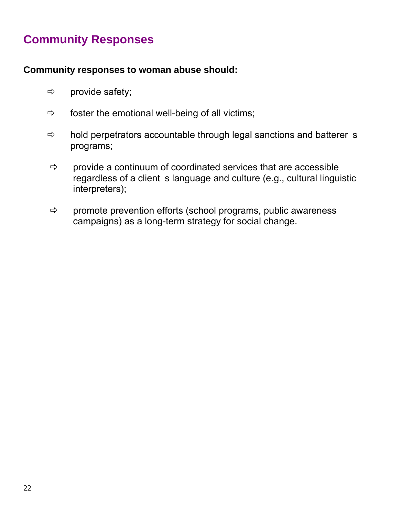# **Community Responses**

## **Community responses to woman abuse should:**

- $\Rightarrow$  provide safety;
- $\Rightarrow$  foster the emotional well-being of all victims;
- $\Rightarrow$  hold perpetrators accountable through legal sanctions and batterer s programs;
- $\Rightarrow$  provide a continuum of coordinated services that are accessible regardless of a client s language and culture (e.g., cultural linguistic interpreters);
- $\Rightarrow$  promote prevention efforts (school programs, public awareness campaigns) as a long-term strategy for social change.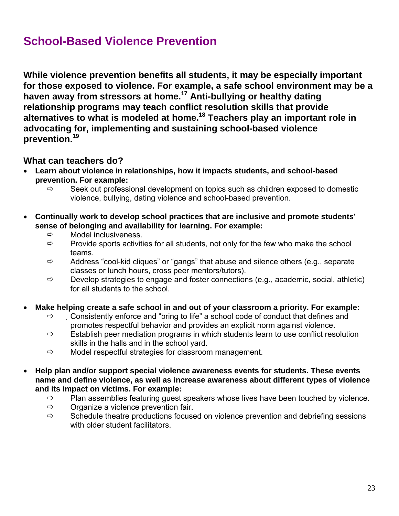# **School-Based Violence Prevention**

**While violence prevention benefits all students, it may be especially important for those exposed to violence. For example, a safe school environment may be a haven away from stressors at home.17 Anti-bullying or healthy dating relationship programs may teach conflict resolution skills that provide alternatives to what is modeled at home.18 Teachers play an important role in advocating for, implementing and sustaining school-based violence prevention.<sup>19</sup>**

## **What can teachers do?**

- **Learn about violence in relationships, how it impacts students, and school-based prevention. For example:** 
	- $\Rightarrow$  Seek out professional development on topics such as children exposed to domestic violence, bullying, dating violence and school-based prevention.
- **Continually work to develop school practices that are inclusive and promote students' sense of belonging and availability for learning. For example:** 
	- $\Rightarrow$  Model inclusiveness.
	- $\Rightarrow$  Provide sports activities for all students, not only for the few who make the school teams.
	- $\Rightarrow$  Address "cool-kid cliques" or "gangs" that abuse and silence others (e.g., separate classes or lunch hours, cross peer mentors/tutors).
	- $\Rightarrow$  Develop strategies to engage and foster connections (e.g., academic, social, athletic) for all students to the school.
- **Make helping create a safe school in and out of your classroom a priority. For example:**
	- $\Rightarrow$  Consistently enforce and "bring to life" a school code of conduct that defines and promotes respectful behavior and provides an explicit norm against violence.
	- $\Rightarrow$  Establish peer mediation programs in which students learn to use conflict resolution skills in the halls and in the school yard.
	- $\Rightarrow$  Model respectful strategies for classroom management.
- **Help plan and/or support special violence awareness events for students. These events name and define violence, as well as increase awareness about different types of violence and its impact on victims. For example:** 
	- $\Rightarrow$  Plan assemblies featuring guest speakers whose lives have been touched by violence.
	- $\Rightarrow$  Organize a violence prevention fair.
	- $\Rightarrow$  Schedule theatre productions focused on violence prevention and debriefing sessions with older student facilitators.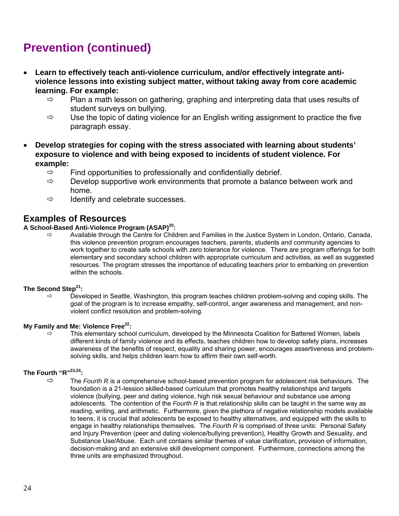# **Prevention (continued)**

- **Learn to effectively teach anti-violence curriculum, and/or effectively integrate antiviolence lessons into existing subject matter, without taking away from core academic learning. For example:** 
	- $\Rightarrow$  Plan a math lesson on gathering, graphing and interpreting data that uses results of student surveys on bullying.
	- $\Rightarrow$  Use the topic of dating violence for an English writing assignment to practice the five paragraph essay.
- **Develop strategies for coping with the stress associated with learning about students' exposure to violence and with being exposed to incidents of student violence. For example:** 
	- $\Rightarrow$  Find opportunities to professionally and confidentially debrief.
	- $\Rightarrow$  Develop supportive work environments that promote a balance between work and home.
	- $\Rightarrow$  Identify and celebrate successes.

#### **Examples of Resources**

#### **A School-Based Anti-Violence Program (ASAP)20:**

 $\Rightarrow$  Available through the Centre for Children and Families in the Justice System in London, Ontario, Canada, this violence prevention program encourages teachers, parents, students and community agencies to work together to create safe schools with zero tolerance for violence. There are program offerings for both elementary and secondary school children with appropriate curriculum and activities, as well as suggested resources. The program stresses the importance of educating teachers prior to embarking on prevention within the schools.

#### **The Second Step21:**

 $\Rightarrow$  Developed in Seattle, Washington, this program teaches children problem-solving and coping skills. The goal of the program is to increase empathy, self-control, anger awareness and management, and nonviolent conflict resolution and problem-solving.

#### **My Family and Me: Violence Free**<sup>22</sup>:

 $\Rightarrow$  This elementary school curriculum, developed by the Minnesota Coalition for Battered Women, labels different kinds of family violence and its effects, teaches children how to develop safety plans, increases awareness of the benefits of respect, equality and sharing power, encourages assertiveness and problemsolving skills, and helps children learn how to affirm their own self-worth.

#### **The Fourth "R"23,24:**

 $\Rightarrow$  The *Fourth R* is a comprehensive school-based prevention program for adolescent risk behaviours. The foundation is a 21-lession skilled-based curriculum that promotes healthy relationships and targets violence (bullying, peer and dating violence, high risk sexual behaviour and substance use among adolescents. The contention of the *Fourth R* is that relationship skills can be taught in the same way as reading, writing, and arithmetic. Furthermore, given the plethora of negative relationship models available to teens, it is crucial that adolescents be exposed to healthy alternatives, and equipped with the skills to engage in healthy relationships themselves. The *Fourth R* is comprised of three units: Personal Safety and Injury Prevention (peer and dating violence/bullying prevention), Healthy Growth and Sexuality, and Substance Use/Abuse. Each unit contains similar themes of value clarification, provision of information, decision-making and an extensive skill development component. Furthermore, connections among the three units are emphasized throughout.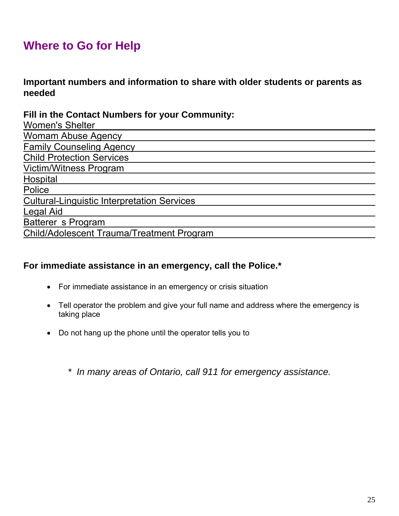# **Where to Go for Help**

**Important numbers and information to share with older students or parents as needed** 

**Fill in the Contact Numbers for your Community:** 

| <b>Women's Shelter</b>                             |
|----------------------------------------------------|
| <b>Womam Abuse Agency</b>                          |
| <b>Family Counseling Agency</b>                    |
| <b>Child Protection Services</b>                   |
| <b>Victim/Witness Program</b>                      |
| Hospital                                           |
| Police                                             |
| <b>Cultural-Linguistic Interpretation Services</b> |
| <b>Legal Aid</b>                                   |
| Batterer s Program                                 |
| <b>Child/Adolescent Trauma/Treatment Program</b>   |

## **For immediate assistance in an emergency, call the Police.\***

- For immediate assistance in an emergency or crisis situation
- Tell operator the problem and give your full name and address where the emergency is taking place
- Do not hang up the phone until the operator tells you to

*\* In many areas of Ontario, call 911 for emergency assistance.*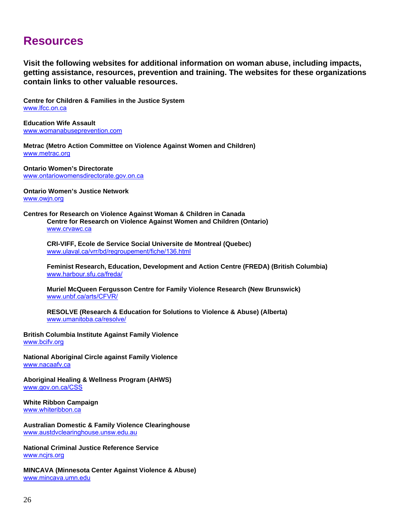## **Resources**

**Visit the following websites for additional information on woman abuse, including impacts, getting assistance, resources, prevention and training. The websites for these organizations contain links to other valuable resources.** 

**Centre for Children & Families in the Justice System**  www.lfcc.on.ca

**Education Wife Assault**  www.womanabuseprevention.com

**Metrac (Metro Action Committee on Violence Against Women and Children)**  www.metrac.org

**Ontario Women's Directorate**  www.ontariowomensdirectorate.gov.on.ca

**Ontario Women's Justice Network**  www.owjn.org

**Centres for Research on Violence Against Woman & Children in Canada Centre for Research on Violence Against Women and Children (Ontario)**  www.crvawc.ca

 **CRI-VIFF, Ecole de Service Social Universite de Montreal (Quebec)**  www.ulaval.ca/vrr/bd/regroupement/fiche/136.html

 **Feminist Research, Education, Development and Action Centre (FREDA) (British Columbia)**  www.harbour.sfu.ca/freda/

 **Muriel McQueen Fergusson Centre for Family Violence Research (New Brunswick)**  www.unbf.ca/arts/CFVR/

 **RESOLVE (Research & Education for Solutions to Violence & Abuse) (Alberta)**  www.umanitoba.ca/resolve/

**British Columbia Institute Against Family Violence**  www.bcifv.org

**National Aboriginal Circle against Family Violence**  www.nacaafv.ca

**Aboriginal Healing & Wellness Program (AHWS)**  www.gov.on.ca/CSS

**White Ribbon Campaign**  www.whiteribbon.ca

**Australian Domestic & Family Violence Clearinghouse**  www.austdvclearinghouse.unsw.edu.au

**National Criminal Justice Reference Service**  www.ncjrs.org

**MINCAVA (Minnesota Center Against Violence & Abuse)**  www.mincava.umn.edu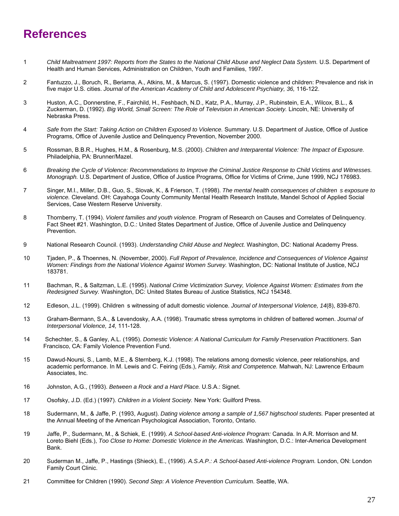# **References**

- 1 *Child Maltreatment 1997: Reports from the States to the National Child Abuse and Neglect Data System.* U.S. Department of Health and Human Services, Administration on Children, Youth and Families, 1997.
- 2 Fantuzzo, J., Boruch, R., Beriama, A., Atkins, M., & Marcus, S. (1997). Domestic violence and children: Prevalence and risk in five major U.S. cities. *Journal of the American Academy of Child and Adolescent Psychiatry, 36, 116-122*.
- 3 Huston, A.C., Donnerstine, F., Fairchild, H., Feshbach, N.D., Katz, P.A., Murray, J.P., Rubinstein, E.A., Wilcox, B.L., & Zuckerman, D. (1992). *Big World, Small Screen: The Role of Television in American Society.* Lincoln, NE: University of Nebraska Press.
- 4 *Safe from the Start: Taking Action on Children Exposed to Violence.* Summary. U.S. Department of Justice, Office of Justice Programs, Office of Juvenile Justice and Delinquency Prevention, November 2000.
- 5 Rossman, B.B.R., Hughes, H.M., & Rosenburg, M.S. (2000). *Children and Interparental Violence: The Impact of Exposure.*  Philadelphia, PA: Brunner/Mazel.
- 6 *Breaking the Cycle of Violence: Recommendations to Improve the Criminal Justice Response to Child Victims and Witnesses. Monograph.* U.S. Department of Justice, Office of Justice Programs, Office for Victims of Crime, June 1999, NCJ 176983.
- 7 Singer, M.I., Miller, D.B., Guo, S., Slovak, K., & Frierson, T. (1998). *The mental health consequences of childrens exposure to violence.* Cleveland. OH: Cayahoga County Community Mental Health Research Institute, Mandel School of Applied Social Services, Case Western Reserve University.
- 8 Thornberry, T. (1994). *Violent families and youth violence.* Program of Research on Causes and Correlates of Delinquency. Fact Sheet #21. Washington, D.C.: United States Department of Justice, Office of Juvenile Justice and Delinquency Prevention.
- 9 National Research Council. (1993). *Understanding Child Abuse and Neglect.* Washington, DC: National Academy Press.
- 10 Tjaden, P., & Thoennes, N. (November, 2000). *Full Report of Prevalence, Incidence and Consequences of Violence Against*  Women: Findings from the National Violence Against Women Survey. Washington, DC: National Institute of Justice, NCJ 183781.
- 11 Bachman, R., & Saltzman, L.E. (1995). *National Crime Victimization Survey, Violence Against Women: Estimates from the Redesigned Survey.* Washington, DC: United States Bureau of Justice Statistics, NCJ 154348.
- 12 Edleson, J.L. (1999). Childrens witnessing of adult domestic violence. *Journal of Interpersonal Violence, 14*(8), 839-870.
- 13 Graham-Bermann, S.A., & Levendosky, A.A. (1998). Traumatic stress symptoms in children of battered women. *Journal of Interpersonal Violence, 14,* 111-128.
- 14 Schechter, S., & Ganley, A.L. (1995). *Domestic Violence: A National Curriculum for Family Preservation Practitioners*. San Francisco, CA: Family Violence Prevention Fund.
- 15 Dawud-Noursi, S., Lamb, M.E., & Sternberg, K.J. (1998). The relations among domestic violence, peer relationships, and academic performance. In M. Lewis and C. Feiring (Eds.), *Family, Risk and Competence.* Mahwah, NJ: Lawrence Erlbaum Associates, Inc.
- 16 Johnston, A.G., (1993). *Between a Rock and a Hard Place.* U.S.A.: Signet.
- 17 Osofsky, J.D. (Ed.) (1997). *Children in a Violent Society.* New York: Guilford Press.
- 18 Sudermann, M., & Jaffe, P. (1993, August). *Dating violence among a sample of 1,567 highschool students.* Paper presented at the Annual Meeting of the American Psychological Association, Toronto, Ontario.
- 19 Jaffe, P., Sudermann, M., & Schiek, E. (1999). *A School-based Anti-violence Program:* Canada. In A.R. Morrison and M. Loreto Biehl (Eds.), *Too Close to Home: Domestic Violence in the Americas.* Washington, D.C.: Inter-America Development Bank.
- 20 Suderman M., Jaffe, P., Hastings (Shieck), E., (1996). *A.S.A.P.: A School-based Anti-violence Program.* London, ON: London Family Court Clinic.
- 21 Committee for Children (1990). *Second Step: A Violence Prevention Curriculum*. Seattle, WA.